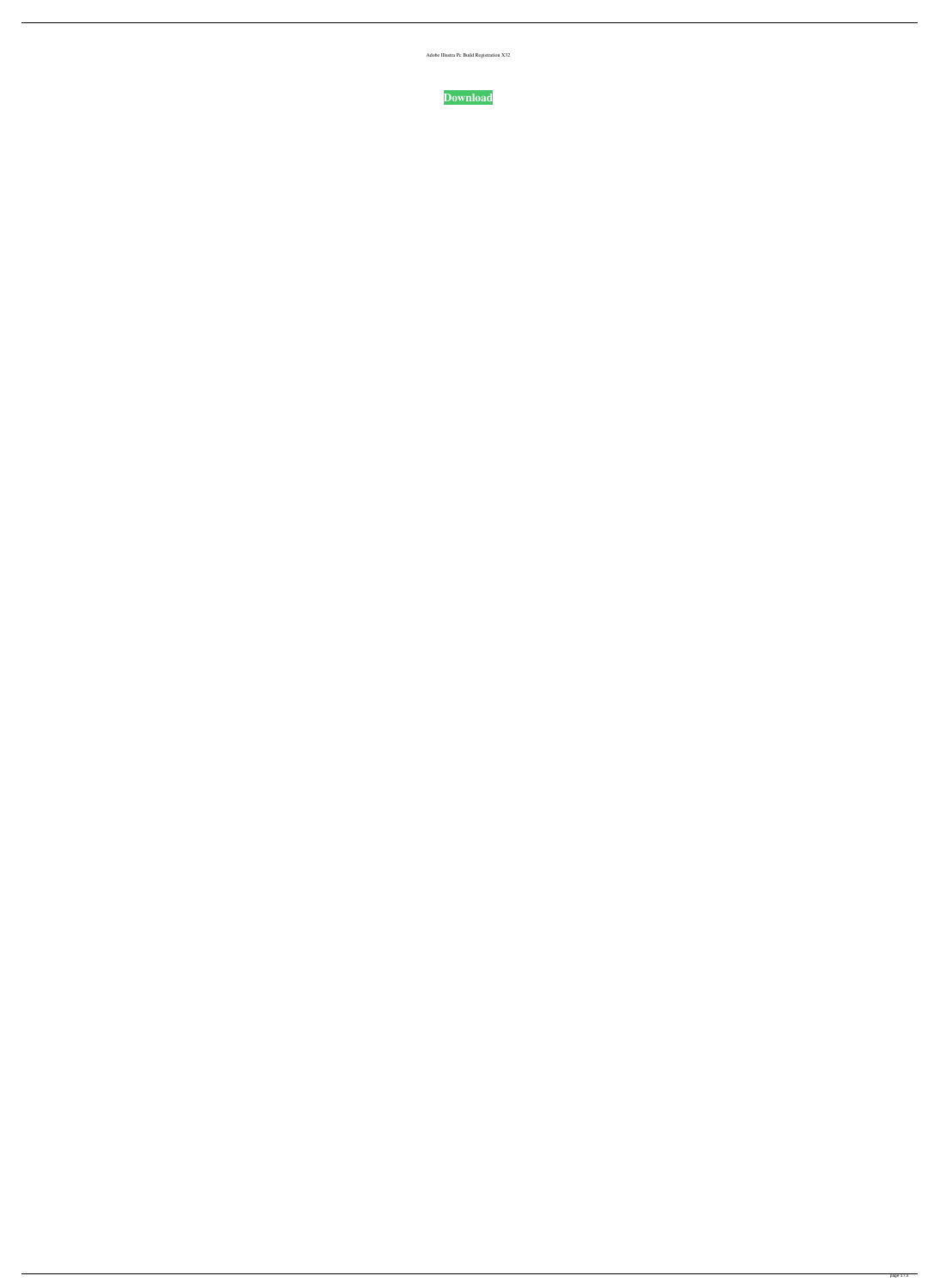Adobe Illustra Pc Build Registration X32

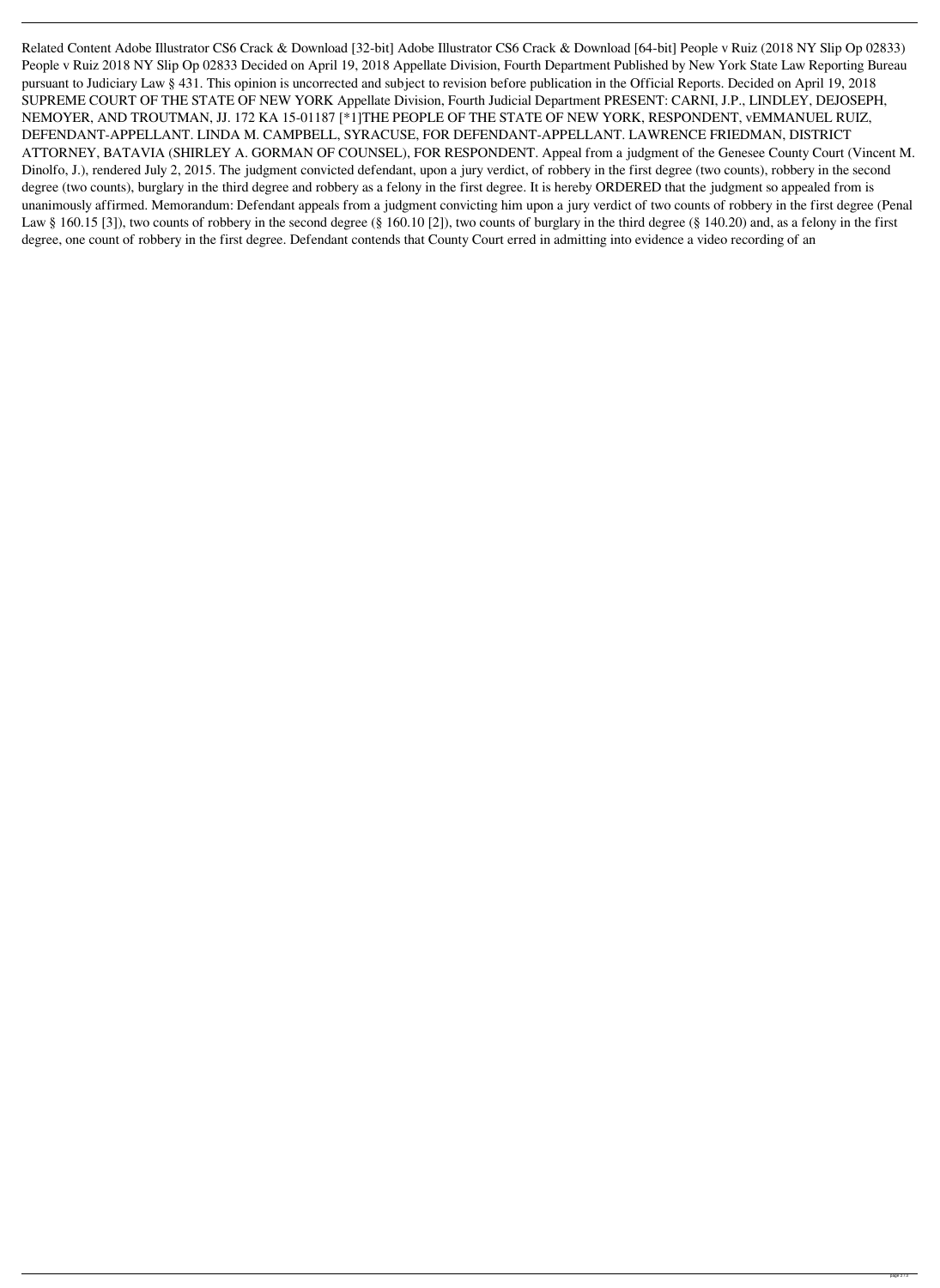Related Content Adobe Illustrator CS6 Crack & Download [32-bit] Adobe Illustrator CS6 Crack & Download [64-bit] People v Ruiz (2018 NY Slip Op 02833) People v Ruiz 2018 NY Slip Op 02833 Decided on April 19, 2018 Appellate Division, Fourth Department Published by New York State Law Reporting Bureau pursuant to Judiciary Law § 431. This opinion is uncorrected and subject to revision before publication in the Official Reports. Decided on April 19, 2018 SUPREME COURT OF THE STATE OF NEW YORK Appellate Division, Fourth Judicial Department PRESENT: CARNI, J.P., LINDLEY, DEJOSEPH, NEMOYER, AND TROUTMAN, JJ. 172 KA 15-01187 [\*1]THE PEOPLE OF THE STATE OF NEW YORK, RESPONDENT, vEMMANUEL RUIZ, DEFENDANT-APPELLANT. LINDA M. CAMPBELL, SYRACUSE, FOR DEFENDANT-APPELLANT. LAWRENCE FRIEDMAN, DISTRICT ATTORNEY, BATAVIA (SHIRLEY A. GORMAN OF COUNSEL), FOR RESPONDENT. Appeal from a judgment of the Genesee County Court (Vincent M. Dinolfo, J.), rendered July 2, 2015. The judgment convicted defendant, upon a jury verdict, of robbery in the first degree (two counts), robbery in the second degree (two counts), burglary in the third degree and robbery as a felony in the first degree. It is hereby ORDERED that the judgment so appealed from is unanimously affirmed. Memorandum: Defendant appeals from a judgment convicting him upon a jury verdict of two counts of robbery in the first degree (Penal Law § 160.15 [3]), two counts of robbery in the second degree (§ 160.10 [2]), two counts of burglary in the third degree (§ 140.20) and, as a felony in the first degree, one count of robbery in the first degree. Defendant contends that County Court erred in admitting into evidence a video recording of an